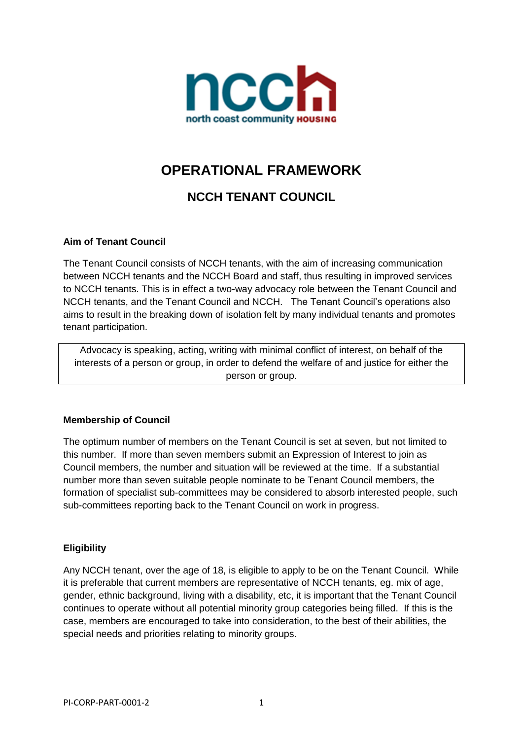

# **OPERATIONAL FRAMEWORK**

## **NCCH TENANT COUNCIL**

## **Aim of Tenant Council**

The Tenant Council consists of NCCH tenants, with the aim of increasing communication between NCCH tenants and the NCCH Board and staff, thus resulting in improved services to NCCH tenants. This is in effect a two-way advocacy role between the Tenant Council and NCCH tenants, and the Tenant Council and NCCH. The Tenant Council's operations also aims to result in the breaking down of isolation felt by many individual tenants and promotes tenant participation.

Advocacy is speaking, acting, writing with minimal conflict of interest, on behalf of the interests of a person or group, in order to defend the welfare of and justice for either the person or group.

#### **Membership of Council**

The optimum number of members on the Tenant Council is set at seven, but not limited to this number. If more than seven members submit an Expression of Interest to join as Council members, the number and situation will be reviewed at the time. If a substantial number more than seven suitable people nominate to be Tenant Council members, the formation of specialist sub-committees may be considered to absorb interested people, such sub-committees reporting back to the Tenant Council on work in progress.

#### **Eligibility**

Any NCCH tenant, over the age of 18, is eligible to apply to be on the Tenant Council. While it is preferable that current members are representative of NCCH tenants, eg. mix of age, gender, ethnic background, living with a disability, etc, it is important that the Tenant Council continues to operate without all potential minority group categories being filled. If this is the case, members are encouraged to take into consideration, to the best of their abilities, the special needs and priorities relating to minority groups.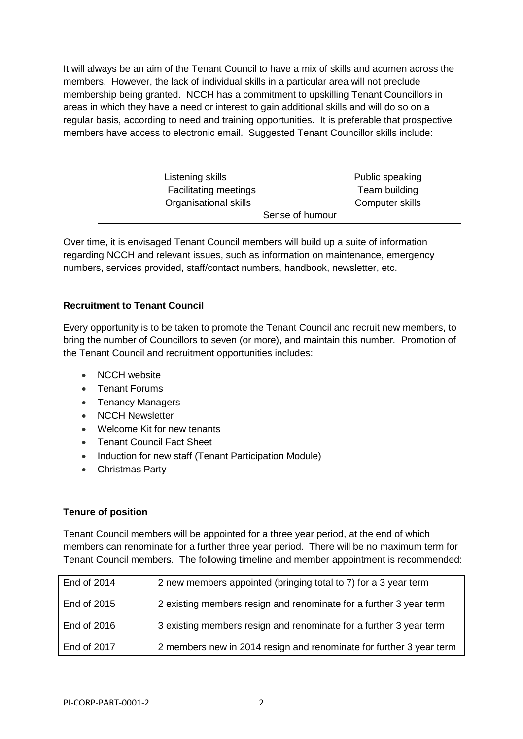It will always be an aim of the Tenant Council to have a mix of skills and acumen across the members. However, the lack of individual skills in a particular area will not preclude membership being granted. NCCH has a commitment to upskilling Tenant Councillors in areas in which they have a need or interest to gain additional skills and will do so on a regular basis, according to need and training opportunities. It is preferable that prospective members have access to electronic email. Suggested Tenant Councillor skills include:

| Listening skills             | Public speaking |
|------------------------------|-----------------|
| <b>Facilitating meetings</b> | Team building   |
| Organisational skills        | Computer skills |
|                              | Sense of humour |

Over time, it is envisaged Tenant Council members will build up a suite of information regarding NCCH and relevant issues, such as information on maintenance, emergency numbers, services provided, staff/contact numbers, handbook, newsletter, etc.

## **Recruitment to Tenant Council**

Every opportunity is to be taken to promote the Tenant Council and recruit new members, to bring the number of Councillors to seven (or more), and maintain this number*.* Promotion of the Tenant Council and recruitment opportunities includes:

- NCCH website
- Tenant Forums
- Tenancy Managers
- NCCH Newsletter
- Welcome Kit for new tenants
- Tenant Council Fact Sheet
- Induction for new staff (Tenant Participation Module)
- Christmas Party

## **Tenure of position**

Tenant Council members will be appointed for a three year period, at the end of which members can renominate for a further three year period. There will be no maximum term for Tenant Council members. The following timeline and member appointment is recommended:

| End of 2014 | 2 new members appointed (bringing total to 7) for a 3 year term     |
|-------------|---------------------------------------------------------------------|
| End of 2015 | 2 existing members resign and renominate for a further 3 year term  |
| End of 2016 | 3 existing members resign and renominate for a further 3 year term  |
| End of 2017 | 2 members new in 2014 resign and renominate for further 3 year term |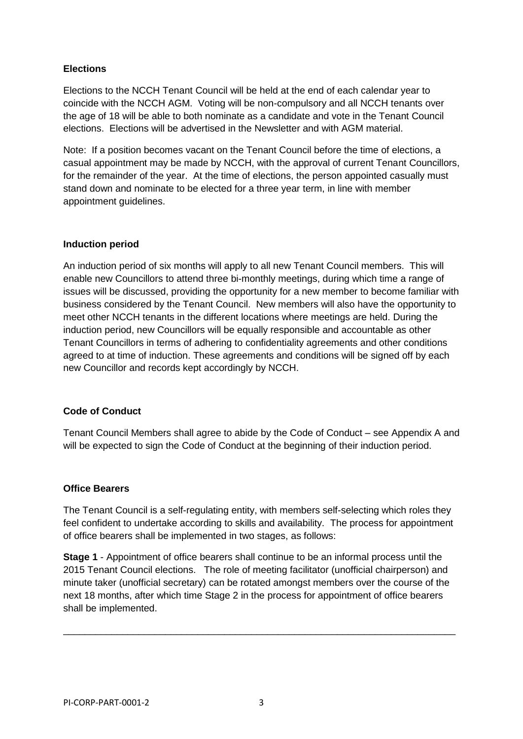## **Elections**

Elections to the NCCH Tenant Council will be held at the end of each calendar year to coincide with the NCCH AGM. Voting will be non-compulsory and all NCCH tenants over the age of 18 will be able to both nominate as a candidate and vote in the Tenant Council elections. Elections will be advertised in the Newsletter and with AGM material.

Note: If a position becomes vacant on the Tenant Council before the time of elections, a casual appointment may be made by NCCH, with the approval of current Tenant Councillors, for the remainder of the year. At the time of elections, the person appointed casually must stand down and nominate to be elected for a three year term, in line with member appointment guidelines.

#### **Induction period**

An induction period of six months will apply to all new Tenant Council members. This will enable new Councillors to attend three bi-monthly meetings, during which time a range of issues will be discussed, providing the opportunity for a new member to become familiar with business considered by the Tenant Council. New members will also have the opportunity to meet other NCCH tenants in the different locations where meetings are held. During the induction period, new Councillors will be equally responsible and accountable as other Tenant Councillors in terms of adhering to confidentiality agreements and other conditions agreed to at time of induction. These agreements and conditions will be signed off by each new Councillor and records kept accordingly by NCCH.

## **Code of Conduct**

Tenant Council Members shall agree to abide by the Code of Conduct – see Appendix A and will be expected to sign the Code of Conduct at the beginning of their induction period.

#### **Office Bearers**

The Tenant Council is a self-regulating entity, with members self-selecting which roles they feel confident to undertake according to skills and availability. The process for appointment of office bearers shall be implemented in two stages, as follows:

**Stage 1** - Appointment of office bearers shall continue to be an informal process until the 2015 Tenant Council elections. The role of meeting facilitator (unofficial chairperson) and minute taker (unofficial secretary) can be rotated amongst members over the course of the next 18 months, after which time Stage 2 in the process for appointment of office bearers shall be implemented.

\_\_\_\_\_\_\_\_\_\_\_\_\_\_\_\_\_\_\_\_\_\_\_\_\_\_\_\_\_\_\_\_\_\_\_\_\_\_\_\_\_\_\_\_\_\_\_\_\_\_\_\_\_\_\_\_\_\_\_\_\_\_\_\_\_\_\_\_\_\_\_\_\_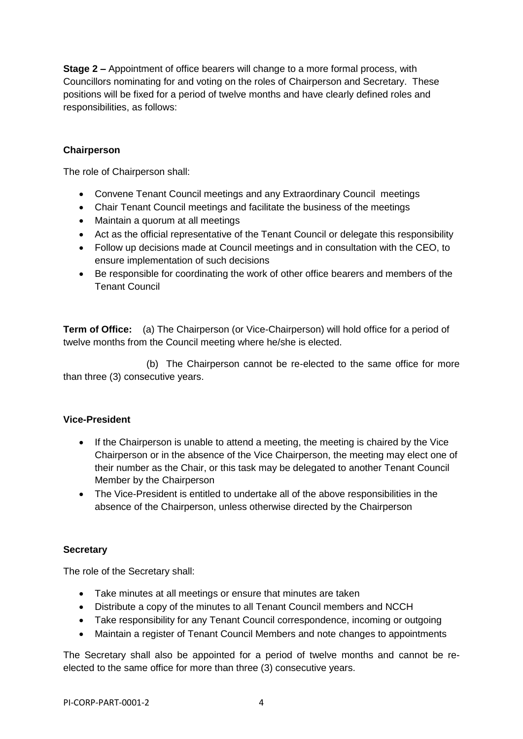**Stage 2 –** Appointment of office bearers will change to a more formal process, with Councillors nominating for and voting on the roles of Chairperson and Secretary. These positions will be fixed for a period of twelve months and have clearly defined roles and responsibilities, as follows:

#### **Chairperson**

The role of Chairperson shall:

- Convene Tenant Council meetings and any Extraordinary Council meetings
- Chair Tenant Council meetings and facilitate the business of the meetings
- Maintain a quorum at all meetings
- Act as the official representative of the Tenant Council or delegate this responsibility
- Follow up decisions made at Council meetings and in consultation with the CEO, to ensure implementation of such decisions
- Be responsible for coordinating the work of other office bearers and members of the Tenant Council

**Term of Office:** (a) The Chairperson (or Vice-Chairperson) will hold office for a period of twelve months from the Council meeting where he/she is elected.

 (b) The Chairperson cannot be re-elected to the same office for more than three (3) consecutive years.

#### **Vice-President**

- If the Chairperson is unable to attend a meeting, the meeting is chaired by the Vice Chairperson or in the absence of the Vice Chairperson, the meeting may elect one of their number as the Chair, or this task may be delegated to another Tenant Council Member by the Chairperson
- The Vice-President is entitled to undertake all of the above responsibilities in the absence of the Chairperson, unless otherwise directed by the Chairperson

#### **Secretary**

The role of the Secretary shall:

- Take minutes at all meetings or ensure that minutes are taken
- Distribute a copy of the minutes to all Tenant Council members and NCCH
- Take responsibility for any Tenant Council correspondence, incoming or outgoing
- Maintain a register of Tenant Council Members and note changes to appointments

The Secretary shall also be appointed for a period of twelve months and cannot be reelected to the same office for more than three (3) consecutive years.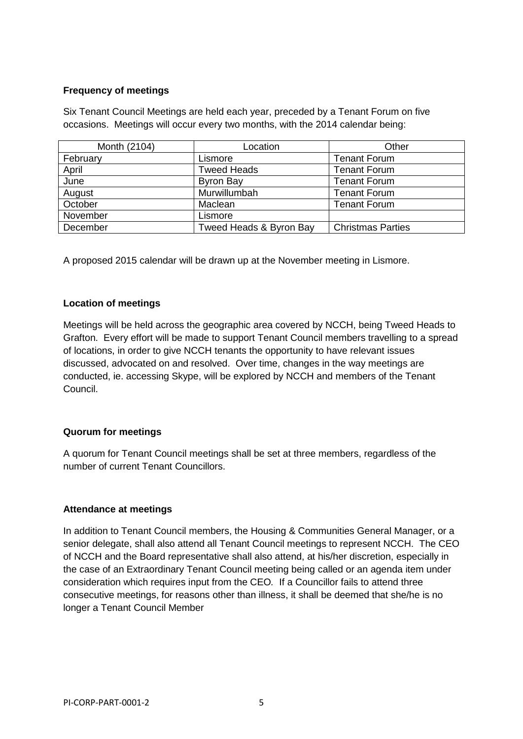#### **Frequency of meetings**

Six Tenant Council Meetings are held each year, preceded by a Tenant Forum on five occasions. Meetings will occur every two months, with the 2014 calendar being:

| Month (2104) | Location                | Other                    |
|--------------|-------------------------|--------------------------|
| February     | Lismore                 | <b>Tenant Forum</b>      |
| April        | Tweed Heads             | <b>Tenant Forum</b>      |
| June         | Byron Bay               | <b>Tenant Forum</b>      |
| August       | Murwillumbah            | <b>Tenant Forum</b>      |
| October      | Maclean                 | <b>Tenant Forum</b>      |
| November     | Lismore                 |                          |
| December     | Tweed Heads & Byron Bay | <b>Christmas Parties</b> |

A proposed 2015 calendar will be drawn up at the November meeting in Lismore.

#### **Location of meetings**

Meetings will be held across the geographic area covered by NCCH, being Tweed Heads to Grafton. Every effort will be made to support Tenant Council members travelling to a spread of locations, in order to give NCCH tenants the opportunity to have relevant issues discussed, advocated on and resolved. Over time, changes in the way meetings are conducted, ie. accessing Skype, will be explored by NCCH and members of the Tenant Council.

#### **Quorum for meetings**

A quorum for Tenant Council meetings shall be set at three members, regardless of the number of current Tenant Councillors.

#### **Attendance at meetings**

In addition to Tenant Council members, the Housing & Communities General Manager, or a senior delegate, shall also attend all Tenant Council meetings to represent NCCH. The CEO of NCCH and the Board representative shall also attend, at his/her discretion, especially in the case of an Extraordinary Tenant Council meeting being called or an agenda item under consideration which requires input from the CEO*.* If a Councillor fails to attend three consecutive meetings, for reasons other than illness, it shall be deemed that she/he is no longer a Tenant Council Member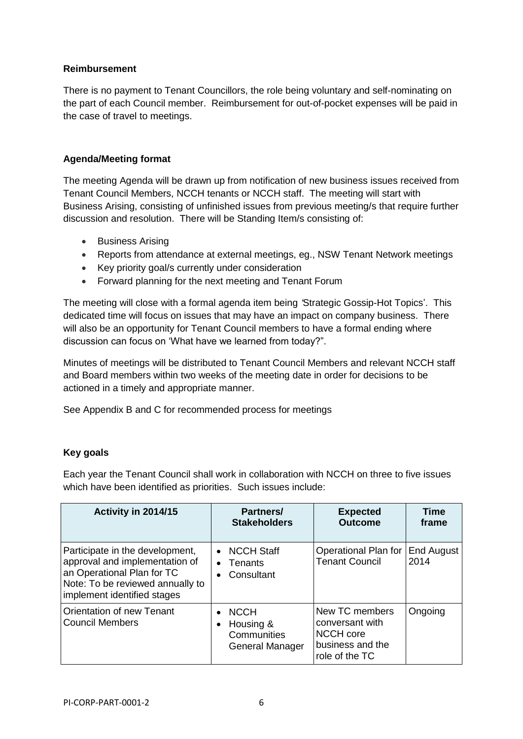## **Reimbursement**

There is no payment to Tenant Councillors, the role being voluntary and self-nominating on the part of each Council member. Reimbursement for out-of-pocket expenses will be paid in the case of travel to meetings.

#### **Agenda/Meeting format**

The meeting Agenda will be drawn up from notification of new business issues received from Tenant Council Members, NCCH tenants or NCCH staff. The meeting will start with Business Arising, consisting of unfinished issues from previous meeting/s that require further discussion and resolution. There will be Standing Item/s consisting of:

- Business Arising
- Reports from attendance at external meetings, eg., NSW Tenant Network meetings
- Key priority goal/s currently under consideration
- Forward planning for the next meeting and Tenant Forum

The meeting will close with a formal agenda item being *'*Strategic Gossip-Hot Topics'. This dedicated time will focus on issues that may have an impact on company business. There will also be an opportunity for Tenant Council members to have a formal ending where discussion can focus on 'What have we learned from today?".

Minutes of meetings will be distributed to Tenant Council Members and relevant NCCH staff and Board members within two weeks of the meeting date in order for decisions to be actioned in a timely and appropriate manner.

See Appendix B and C for recommended process for meetings

## **Key goals**

Each year the Tenant Council shall work in collaboration with NCCH on three to five issues which have been identified as priorities. Such issues include:

| Activity in 2014/15                                                                                                                                                | Partners/<br><b>Stakeholders</b>                                                     | <b>Expected</b><br><b>Outcome</b>                                                           | <b>Time</b><br>frame      |
|--------------------------------------------------------------------------------------------------------------------------------------------------------------------|--------------------------------------------------------------------------------------|---------------------------------------------------------------------------------------------|---------------------------|
| Participate in the development,<br>approval and implementation of<br>an Operational Plan for TC<br>Note: To be reviewed annually to<br>implement identified stages | <b>NCCH Staff</b><br>$\bullet$<br>Tenants<br>$\bullet$<br>Consultant                 | Operational Plan for<br><b>Tenant Council</b>                                               | <b>End August</b><br>2014 |
| <b>Orientation of new Tenant</b><br><b>Council Members</b>                                                                                                         | <b>NCCH</b><br>$\bullet$<br>Housing &<br>$\bullet$<br>Communities<br>General Manager | New TC members<br>conversant with<br><b>NCCH</b> core<br>business and the<br>role of the TC | Ongoing                   |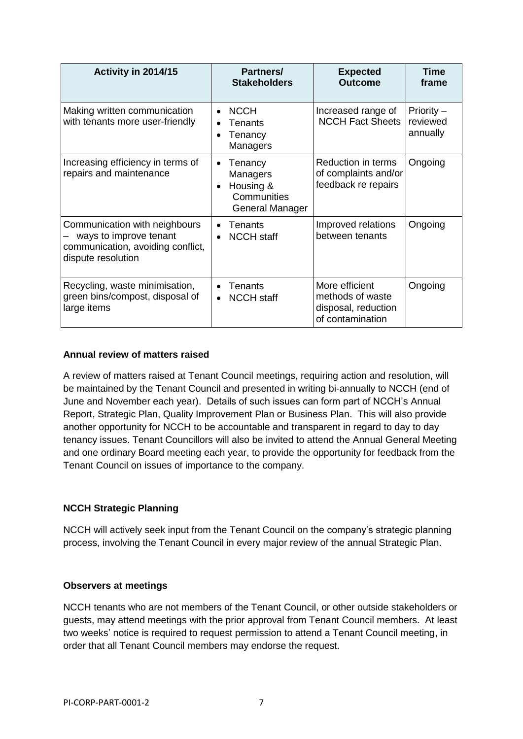| Activity in 2014/15                                                                                                | Partners/<br><b>Stakeholders</b>                                                             | <b>Expected</b><br><b>Outcome</b>                                             | Time<br>frame                      |
|--------------------------------------------------------------------------------------------------------------------|----------------------------------------------------------------------------------------------|-------------------------------------------------------------------------------|------------------------------------|
| Making written communication<br>with tenants more user-friendly                                                    | <b>NCCH</b><br>$\bullet$<br>Tenants<br>Tenancy<br>$\bullet$<br>Managers                      | Increased range of<br><b>NCCH Fact Sheets</b>                                 | Priority -<br>reviewed<br>annually |
| Increasing efficiency in terms of<br>repairs and maintenance                                                       | Tenancy<br>$\bullet$<br>Managers<br>Housing &<br>$\bullet$<br>Communities<br>General Manager | Reduction in terms<br>of complaints and/or<br>feedback re repairs             | Ongoing                            |
| Communication with neighbours<br>ways to improve tenant<br>communication, avoiding conflict,<br>dispute resolution | Tenants<br><b>NCCH</b> staff                                                                 | Improved relations<br>between tenants                                         | Ongoing                            |
| Recycling, waste minimisation,<br>green bins/compost, disposal of<br>large items                                   | Tenants<br><b>NCCH</b> staff<br>$\bullet$                                                    | More efficient<br>methods of waste<br>disposal, reduction<br>of contamination | Ongoing                            |

#### **Annual review of matters raised**

A review of matters raised at Tenant Council meetings, requiring action and resolution, will be maintained by the Tenant Council and presented in writing bi-annually to NCCH (end of June and November each year). Details of such issues can form part of NCCH's Annual Report, Strategic Plan, Quality Improvement Plan or Business Plan. This will also provide another opportunity for NCCH to be accountable and transparent in regard to day to day tenancy issues. Tenant Councillors will also be invited to attend the Annual General Meeting and one ordinary Board meeting each year, to provide the opportunity for feedback from the Tenant Council on issues of importance to the company.

## **NCCH Strategic Planning**

NCCH will actively seek input from the Tenant Council on the company's strategic planning process, involving the Tenant Council in every major review of the annual Strategic Plan.

#### **Observers at meetings**

NCCH tenants who are not members of the Tenant Council, or other outside stakeholders or guests, may attend meetings with the prior approval from Tenant Council members. At least two weeks' notice is required to request permission to attend a Tenant Council meeting, in order that all Tenant Council members may endorse the request.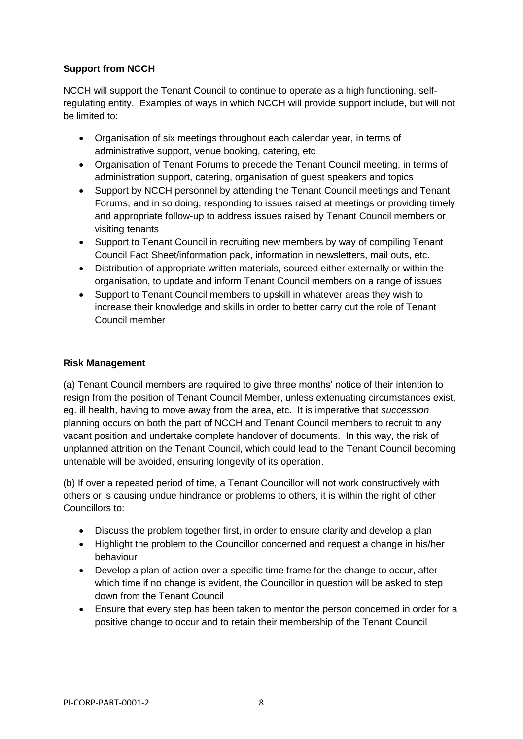## **Support from NCCH**

NCCH will support the Tenant Council to continue to operate as a high functioning, selfregulating entity. Examples of ways in which NCCH will provide support include, but will not be limited to:

- Organisation of six meetings throughout each calendar year, in terms of administrative support, venue booking, catering, etc
- Organisation of Tenant Forums to precede the Tenant Council meeting, in terms of administration support, catering, organisation of guest speakers and topics
- Support by NCCH personnel by attending the Tenant Council meetings and Tenant Forums, and in so doing, responding to issues raised at meetings or providing timely and appropriate follow-up to address issues raised by Tenant Council members or visiting tenants
- Support to Tenant Council in recruiting new members by way of compiling Tenant Council Fact Sheet/information pack, information in newsletters, mail outs, etc.
- Distribution of appropriate written materials, sourced either externally or within the organisation, to update and inform Tenant Council members on a range of issues
- Support to Tenant Council members to upskill in whatever areas they wish to increase their knowledge and skills in order to better carry out the role of Tenant Council member

#### **Risk Management**

(a) Tenant Council members are required to give three months' notice of their intention to resign from the position of Tenant Council Member, unless extenuating circumstances exist, eg. ill health, having to move away from the area, etc. It is imperative that *succession* planning occurs on both the part of NCCH and Tenant Council members to recruit to any vacant position and undertake complete handover of documents. In this way, the risk of unplanned attrition on the Tenant Council, which could lead to the Tenant Council becoming untenable will be avoided, ensuring longevity of its operation.

(b) If over a repeated period of time, a Tenant Councillor will not work constructively with others or is causing undue hindrance or problems to others, it is within the right of other Councillors to:

- Discuss the problem together first, in order to ensure clarity and develop a plan
- Highlight the problem to the Councillor concerned and request a change in his/her behaviour
- Develop a plan of action over a specific time frame for the change to occur, after which time if no change is evident, the Councillor in question will be asked to step down from the Tenant Council
- Ensure that every step has been taken to mentor the person concerned in order for a positive change to occur and to retain their membership of the Tenant Council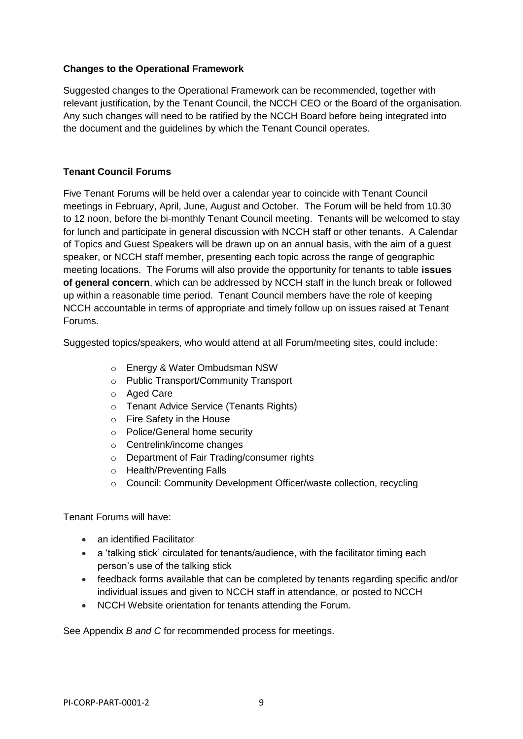#### **Changes to the Operational Framework**

Suggested changes to the Operational Framework can be recommended, together with relevant justification, by the Tenant Council, the NCCH CEO or the Board of the organisation. Any such changes will need to be ratified by the NCCH Board before being integrated into the document and the guidelines by which the Tenant Council operates.

## **Tenant Council Forums**

Five Tenant Forums will be held over a calendar year to coincide with Tenant Council meetings in February, April, June, August and October. The Forum will be held from 10.30 to 12 noon, before the bi-monthly Tenant Council meeting. Tenants will be welcomed to stay for lunch and participate in general discussion with NCCH staff or other tenants. A Calendar of Topics and Guest Speakers will be drawn up on an annual basis, with the aim of a guest speaker, or NCCH staff member, presenting each topic across the range of geographic meeting locations. The Forums will also provide the opportunity for tenants to table **issues of general concern**, which can be addressed by NCCH staff in the lunch break or followed up within a reasonable time period. Tenant Council members have the role of keeping NCCH accountable in terms of appropriate and timely follow up on issues raised at Tenant Forums.

Suggested topics/speakers, who would attend at all Forum/meeting sites, could include:

- o Energy & Water Ombudsman NSW
- o Public Transport/Community Transport
- o Aged Care
- o Tenant Advice Service (Tenants Rights)
- o Fire Safety in the House
- o Police/General home security
- o Centrelink/income changes
- o Department of Fair Trading/consumer rights
- o Health/Preventing Falls
- o Council: Community Development Officer/waste collection, recycling

Tenant Forums will have:

- an identified Facilitator
- a 'talking stick' circulated for tenants/audience, with the facilitator timing each person's use of the talking stick
- feedback forms available that can be completed by tenants regarding specific and/or individual issues and given to NCCH staff in attendance, or posted to NCCH
- NCCH Website orientation for tenants attending the Forum.

See Appendix *B and C* for recommended process for meetings.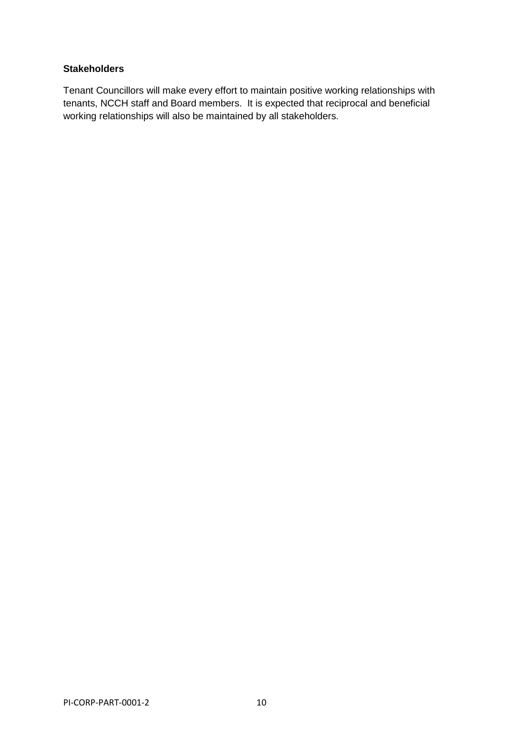## **Stakeholders**

Tenant Councillors will make every effort to maintain positive working relationships with tenants, NCCH staff and Board members. It is expected that reciprocal and beneficial working relationships will also be maintained by all stakeholders.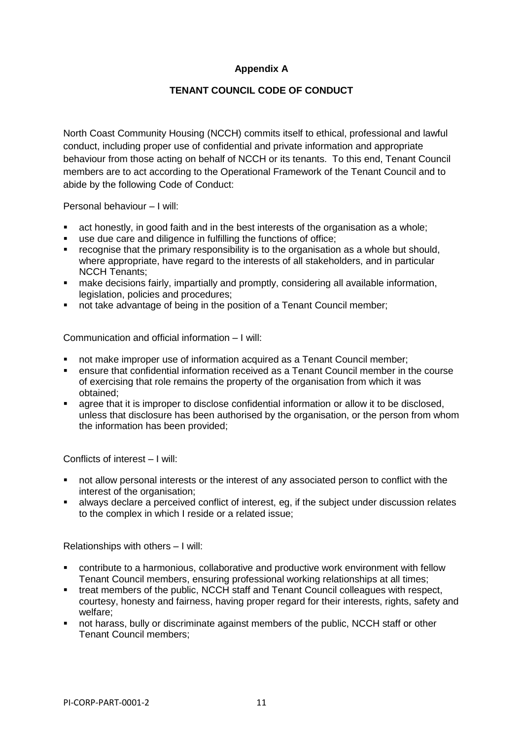## **Appendix A**

## **TENANT COUNCIL CODE OF CONDUCT**

North Coast Community Housing (NCCH) commits itself to ethical, professional and lawful conduct, including proper use of confidential and private information and appropriate behaviour from those acting on behalf of NCCH or its tenants. To this end, Tenant Council members are to act according to the Operational Framework of the Tenant Council and to abide by the following Code of Conduct:

Personal behaviour – I will:

- act honestly, in good faith and in the best interests of the organisation as a whole;
- use due care and diligence in fulfilling the functions of office;
- **•** recognise that the primary responsibility is to the organisation as a whole but should, where appropriate, have regard to the interests of all stakeholders, and in particular NCCH Tenants;
- make decisions fairly, impartially and promptly, considering all available information, legislation, policies and procedures;
- not take advantage of being in the position of a Tenant Council member;

Communication and official information – I will:

- not make improper use of information acquired as a Tenant Council member;
- ensure that confidential information received as a Tenant Council member in the course of exercising that role remains the property of the organisation from which it was obtained;
- agree that it is improper to disclose confidential information or allow it to be disclosed, unless that disclosure has been authorised by the organisation, or the person from whom the information has been provided;

Conflicts of interest – I will:

- not allow personal interests or the interest of any associated person to conflict with the interest of the organisation;
- **EXEDENT All always declare a perceived conflict of interest, eg, if the subject under discussion relates** to the complex in which I reside or a related issue;

Relationships with others – I will:

- contribute to a harmonious, collaborative and productive work environment with fellow Tenant Council members, ensuring professional working relationships at all times;
- treat members of the public, NCCH staff and Tenant Council colleagues with respect, courtesy, honesty and fairness, having proper regard for their interests, rights, safety and welfare;
- not harass, bully or discriminate against members of the public, NCCH staff or other Tenant Council members;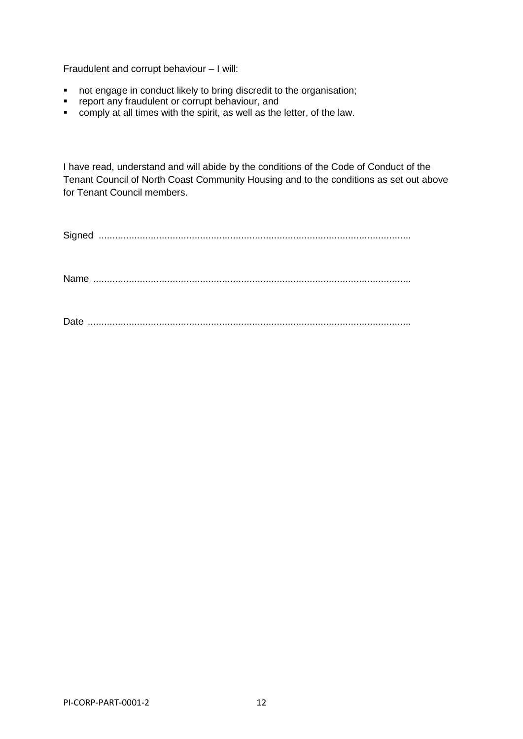Fraudulent and corrupt behaviour – I will:

- not engage in conduct likely to bring discredit to the organisation;
- report any fraudulent or corrupt behaviour, and
- comply at all times with the spirit, as well as the letter, of the law.

I have read, understand and will abide by the conditions of the Code of Conduct of the Tenant Council of North Coast Community Housing and to the conditions as set out above for Tenant Council members.

PI-CORP-PART-0001-2 12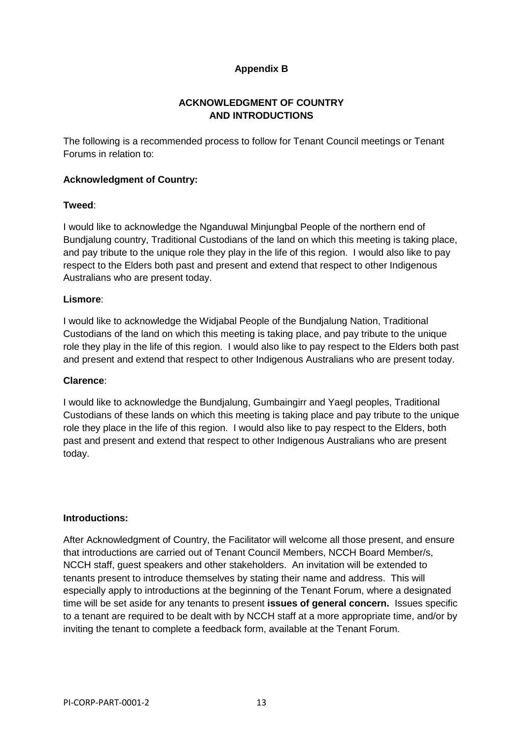## **Appendix B**

## **ACKNOWLEDGMENT OF COUNTRY AND INTRODUCTIONS**

The following is a recommended process to follow for Tenant Council meetings or Tenant Forums in relation to:

#### **Acknowledgment of Country:**

#### **Tweed**:

I would like to acknowledge the Nganduwal Minjungbal People of the northern end of Bundjalung country, Traditional Custodians of the land on which this meeting is taking place, and pay tribute to the unique role they play in the life of this region. I would also like to pay respect to the Elders both past and present and extend that respect to other Indigenous Australians who are present today.

#### **Lismore**:

I would like to acknowledge the Widjabal People of the Bundjalung Nation, Traditional Custodians of the land on which this meeting is taking place, and pay tribute to the unique role they play in the life of this region. I would also like to pay respect to the Elders both past and present and extend that respect to other Indigenous Australians who are present today.

#### **Clarence**:

I would like to acknowledge the Bundjalung, Gumbaingirr and Yaegl peoples, Traditional Custodians of these lands on which this meeting is taking place and pay tribute to the unique role they place in the life of this region. I would also like to pay respect to the Elders, both past and present and extend that respect to other Indigenous Australians who are present today.

#### **Introductions:**

After Acknowledgment of Country, the Facilitator will welcome all those present, and ensure that introductions are carried out of Tenant Council Members, NCCH Board Member/s, NCCH staff, guest speakers and other stakeholders. An invitation will be extended to tenants present to introduce themselves by stating their name and address. This will especially apply to introductions at the beginning of the Tenant Forum, where a designated time will be set aside for any tenants to present **issues of general concern.** Issues specific to a tenant are required to be dealt with by NCCH staff at a more appropriate time, and/or by inviting the tenant to complete a feedback form, available at the Tenant Forum.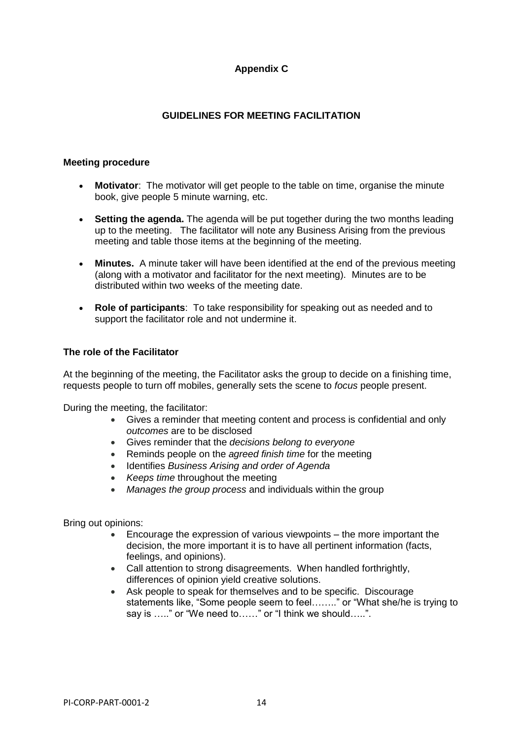## **Appendix C**

## **GUIDELINES FOR MEETING FACILITATION**

#### **Meeting procedure**

- **Motivator**: The motivator will get people to the table on time, organise the minute book, give people 5 minute warning, etc.
- **Setting the [agenda.](http://en.wikipedia.org/wiki/Agenda_%28meeting%29)** The agenda will be put together during the two months leading up to the meeting. The facilitator will note any Business Arising from the previous meeting and table those items at the beginning of the meeting.
- **Minutes.** A minute taker will have been identified at the end of the previous meeting (along with a motivator and facilitator for the next meeting). Minutes are to be distributed within two weeks of the meeting date.
- **Role of participants**: To take responsibility for speaking out as needed and to support the facilitator role and not undermine it.

#### **The role of the Facilitator**

At the beginning of the meeting, the Facilitator asks the group to decide on a finishing time, requests people to turn off mobiles, generally sets the scene to *focus* people present.

During the meeting, the facilitator:

- Gives a reminder that meeting content and process is confidential and only *outcomes* are to be disclosed
- Gives reminder that the *decisions belong to everyone*
- Reminds people on the *agreed finish time* for the meeting
- Identifies *Business Arising and order of Agenda*
- *Keeps time* throughout the meeting
- *Manages the group process* and individuals within the group

Bring out opinions:

- Encourage the expression of various viewpoints the more important the decision, the more important it is to have all pertinent information (facts, feelings, and opinions).
- Call attention to strong disagreements. When handled forthrightly, differences of opinion yield creative solutions.
- Ask people to speak for themselves and to be specific. Discourage statements like, "Some people seem to feel…….." or "What she/he is trying to say is ….." or "We need to……" or "I think we should…..".